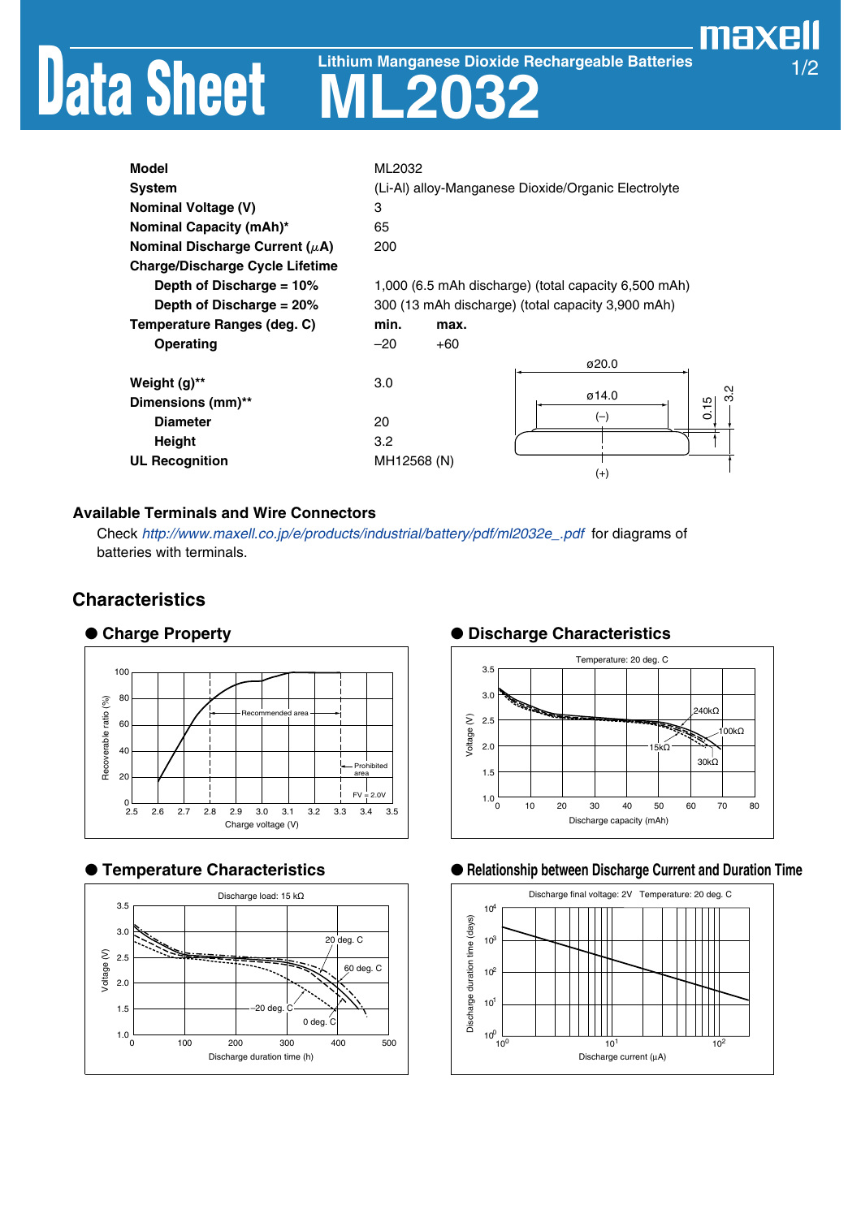# Data Sheet

**ML2032 Lithium Manganese Dioxide Rechargeable Batteries**

# maxell 1/2

| <b>Model</b>                           | ML2032                                               |     |  |
|----------------------------------------|------------------------------------------------------|-----|--|
| <b>System</b>                          | (Li-Al) alloy-Manganese Dioxide/Organic Electrolyte  |     |  |
| <b>Nominal Voltage (V)</b>             | 3                                                    |     |  |
| Nominal Capacity (mAh)*                | 65                                                   |     |  |
| Nominal Discharge Current ( $\mu$ A)   | 200                                                  |     |  |
| <b>Charge/Discharge Cycle Lifetime</b> |                                                      |     |  |
| Depth of Discharge = 10%               | 1,000 (6.5 mAh discharge) (total capacity 6,500 mAh) |     |  |
| Depth of Discharge = $20\%$            | 300 (13 mAh discharge) (total capacity 3,900 mAh)    |     |  |
| Temperature Ranges (deg. C)            | min.<br>max.                                         |     |  |
| <b>Operating</b>                       | $+60$<br>$-20$                                       |     |  |
|                                        | ø20.0                                                |     |  |
| Weight (g)**                           | 3.0                                                  |     |  |
| Dimensions (mm)**                      | ø14.0<br>0.15                                        | 3.2 |  |
| <b>Diameter</b>                        | $(-)$<br>20                                          |     |  |
| <b>Height</b>                          | 3.2                                                  |     |  |
| <b>UL Recognition</b>                  | MH12568 (N)                                          |     |  |
|                                        | $^{(+)}$                                             |     |  |

## **Available Terminals and Wire Connectors**

Check [http://www.maxell.co.jp/e/products/industrial/battery/pdf/ml2032e\\_.pdf](http://www.maxell.co.jp/e/products/industrial/battery/pdf/ml2032e_.pdf) for diagrams of batteries with terminals.

## **Characteristics**



## ● **Temperature Characteristics**



## ● **Charge Property** ● **Discharge Characteristics**



### ● **Relationship between Discharge Current and Duration Time**

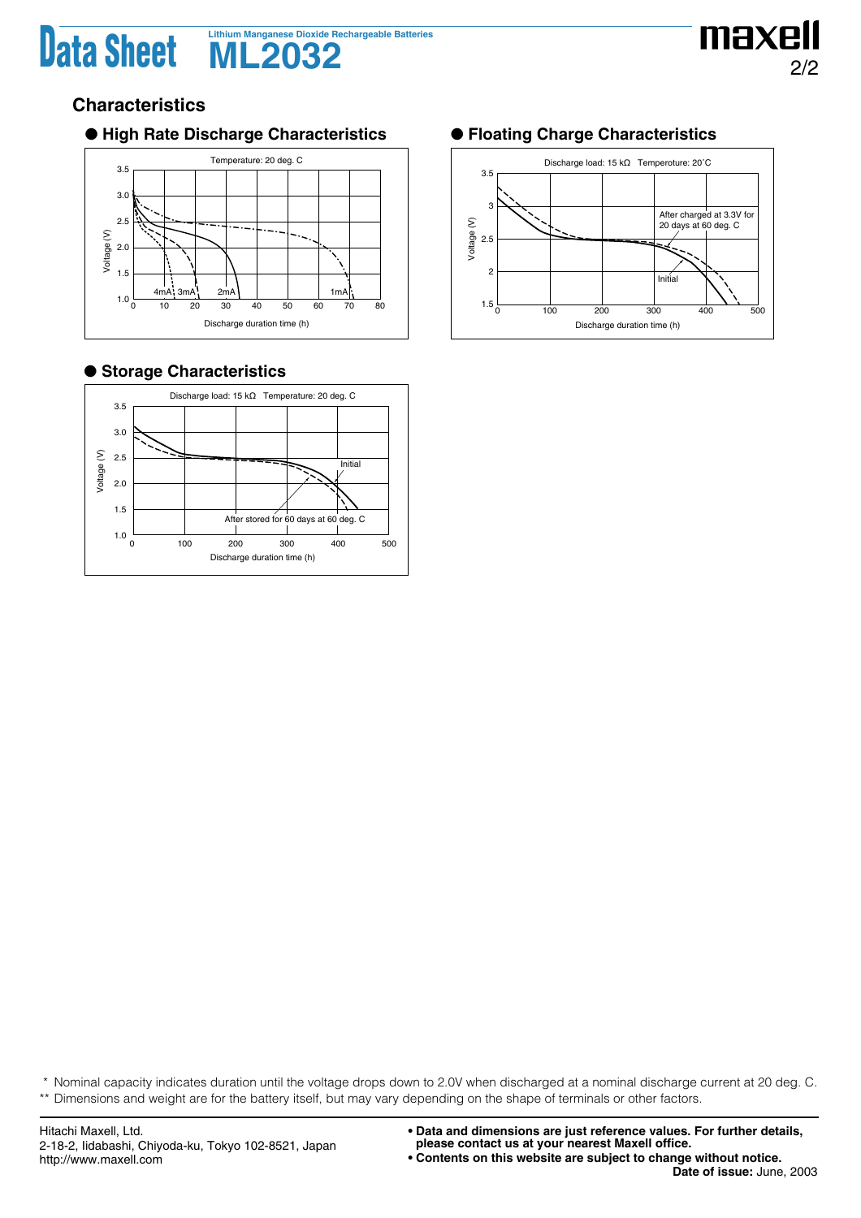# Data Sheet **ML2032 ML2032**



## **Characteristics**

## ● **High Rate Discharge Characteristics** ● **Floating Charge Characteristics**



## ● **Storage Characteristics**





\* Nominal capacity indicates duration until the voltage drops down to 2.0V when discharged at a nominal discharge current at 20 deg. C. \*\* Dimensions and weight are for the battery itself, but may vary depending on the shape of terminals or other factors.

**<sup>•</sup> Contents on this website are subject to change without notice.**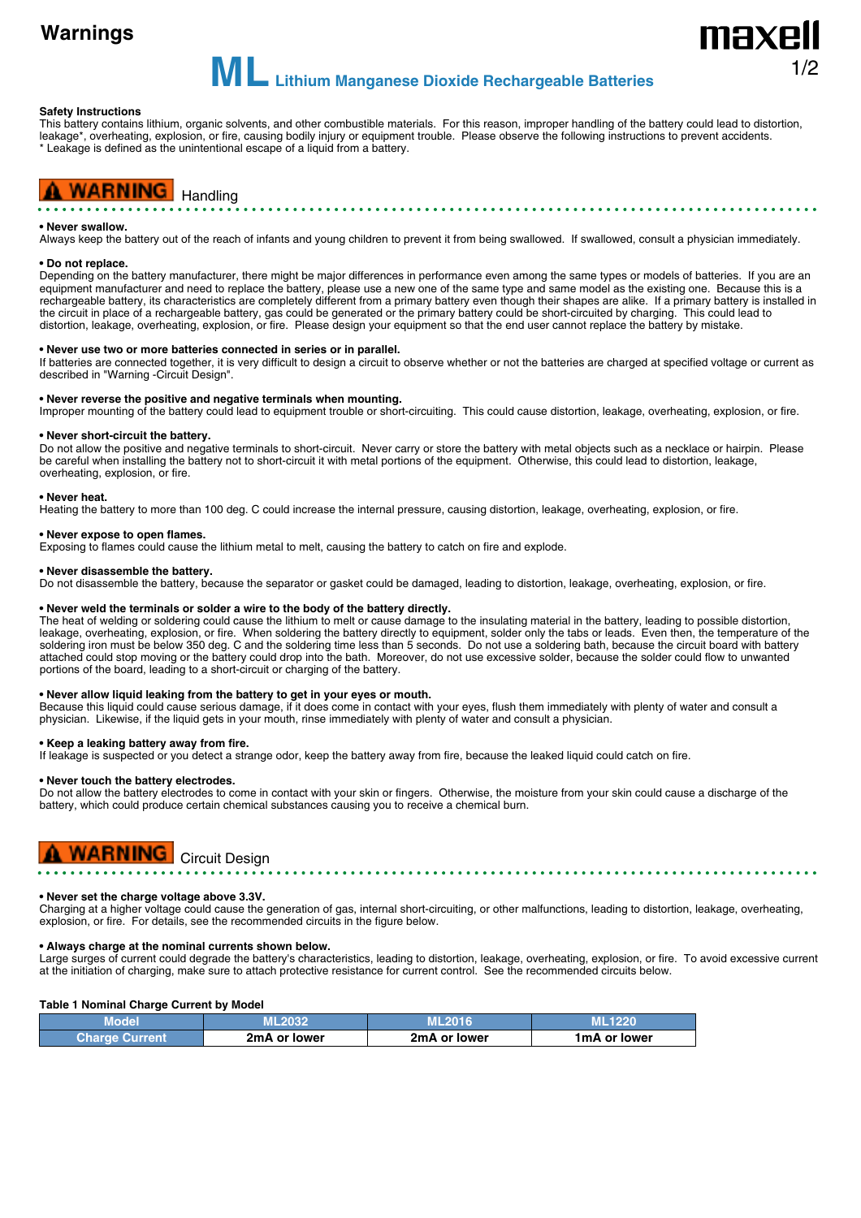# **Warnings**

**MLLithium Manganese Dioxide Rechargeable Batteries**

#### **Safety Instructions**

This battery contains lithium, organic solvents, and other combustible materials. For this reason, improper handling of the battery could lead to distortion, leakage\*, overheating, explosion, or fire, causing bodily injury or equipment trouble. Please observe the following instructions to prevent accidents. \* Leakage is defined as the unintentional escape of a liquid from a battery.

## **WARNING** Handling

#### **• Never swallow.**

Always keep the battery out of the reach of infants and young children to prevent it from being swallowed. If swallowed, consult a physician immediately.

#### **• Do not replace.**

Depending on the battery manufacturer, there might be major differences in performance even among the same types or models of batteries. If you are an equipment manufacturer and need to replace the battery, please use a new one of the same type and same model as the existing one. Because this is a rechargeable battery, its characteristics are completely different from a primary battery even though their shapes are alike. If a primary battery is installed in the circuit in place of a rechargeable battery, gas could be generated or the primary battery could be short-circuited by charging. This could lead to distortion, leakage, overheating, explosion, or fire. Please design your equipment so that the end user cannot replace the battery by mistake.

#### **• Never use two or more batteries connected in series or in parallel.**

If batteries are connected together, it is very difficult to design a circuit to observe whether or not the batteries are charged at specified voltage or current as described in "Warning -Circuit Design".

#### **• Never reverse the positive and negative terminals when mounting.**

Improper mounting of the battery could lead to equipment trouble or short-circuiting. This could cause distortion, leakage, overheating, explosion, or fire.

#### **• Never short-circuit the battery.**

Do not allow the positive and negative terminals to short-circuit. Never carry or store the battery with metal objects such as a necklace or hairpin. Please be careful when installing the battery not to short-circuit it with metal portions of the equipment. Otherwise, this could lead to distortion, leakage, overheating, explosion, or fire.

#### **• Never heat.**

Heating the battery to more than 100 deg. C could increase the internal pressure, causing distortion, leakage, overheating, explosion, or fire.

#### **• Never expose to open flames.**

Exposing to flames could cause the lithium metal to melt, causing the battery to catch on fire and explode.

#### **• Never disassemble the battery.**

Do not disassemble the battery, because the separator or gasket could be damaged, leading to distortion, leakage, overheating, explosion, or fire.

#### **• Never weld the terminals or solder a wire to the body of the battery directly.**

The heat of welding or soldering could cause the lithium to melt or cause damage to the insulating material in the battery, leading to possible distortion, leakage, overheating, explosion, or fire. When soldering the battery directly to equipment, solder only the tabs or leads. Even then, the temperature of the soldering iron must be below 350 deg. C and the soldering time less than 5 seconds. Do not use a soldering bath, because the circuit board with battery attached could stop moving or the battery could drop into the bath. Moreover, do not use excessive solder, because the solder could flow to unwanted portions of the board, leading to a short-circuit or charging of the battery.

#### **• Never allow liquid leaking from the battery to get in your eyes or mouth.**

Because this liquid could cause serious damage, if it does come in contact with your eyes, flush them immediately with plenty of water and consult a physician. Likewise, if the liquid gets in your mouth, rinse immediately with plenty of water and consult a physician.

#### **• Keep a leaking battery away from fire.**

If leakage is suspected or you detect a strange odor, keep the battery away from fire, because the leaked liquid could catch on fire.

#### **• Never touch the battery electrodes.**

Do not allow the battery electrodes to come in contact with your skin or fingers. Otherwise, the moisture from your skin could cause a discharge of the battery, which could produce certain chemical substances causing you to receive a chemical burn.



#### **• Never set the charge voltage above 3.3V.**

Charging at a higher voltage could cause the generation of gas, internal short-circuiting, or other malfunctions, leading to distortion, leakage, overheating, explosion, or fire. For details, see the recommended circuits in the figure below.

#### **• Always charge at the nominal currents shown below.**

Large surges of current could degrade the battery's characteristics, leading to distortion, leakage, overheating, explosion, or fire. To avoid excessive current at the initiation of charging, make sure to attach protective resistance for current control. See the recommended circuits below.

#### **Table 1 Nominal Charge Current by Model**

| viodel                |              |              |              |
|-----------------------|--------------|--------------|--------------|
| <b>Charge Current</b> | 2mA or lower | 2mA or lower | 1mA or lower |

1/2

naxel